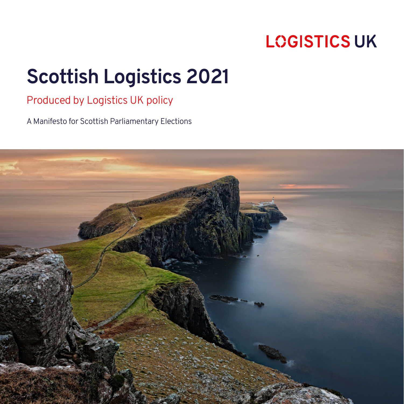# **Scottish Logistics 2021**

## Produced by Logistics UK policy

A Manifesto for Scottish Parliamentary Elections

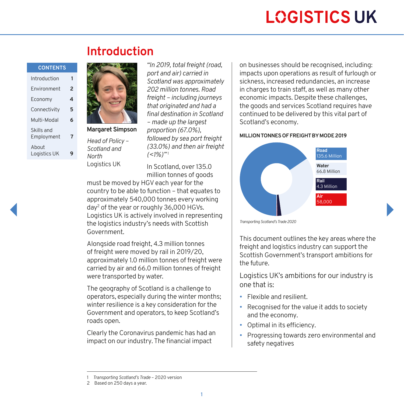#### **CONTENTS**

| Introduction             |   |
|--------------------------|---|
| Environment              | 2 |
| Economy                  | 4 |
| Connectivity             | 5 |
| Multi-Modal              | 6 |
| Skills and<br>Employment | 7 |
| About<br>Logistics UK    |   |



**Margaret Simpson** *Head of Policy – Scotland and North* Logistics UK

*"In 2019, total freight (road, port and air) carried in Scotland was approximately 202 million tonnes. Road freight – including journeys that originated and had a final destination in Scotland – made up the largest proportion (67.0%), followed by sea port freight (33.0%) and then air freight*   $(<1\%)$ <sup>"1</sup>

In Scotland, over 135.0 million tonnes of goods

must be moved by HGV each year for the country to be able to function – that equates to approximately 540,000 tonnes every working day2 of the year or roughly 36,000 HGVs. Logistics UK is actively involved in representing the logistics industry's needs with Scottish Government.

Alongside road freight, 4.3 million tonnes of freight were moved by rail in 2019/20, approximately 1.0 million tonnes of freight were carried by air and 66.0 million tonnes of freight were transported by water.

The geography of Scotland is a challenge to operators, especially during the winter months; winter resilience is a key consideration for the Government and operators, to keep Scotland's roads open.

Clearly the Coronavirus pandemic has had an impact on our industry. The financial impact

on businesses should be recognised, including: impacts upon operations as result of furlough or sickness, increased redundancies, an increase in charges to train staff, as well as many other economic impacts. Despite these challenges, the goods and services Scotland requires have continued to be delivered by this vital part of Scotland's economy.

#### **MILLION TONNES OF FREIGHT BY MODE 2019**



*Transporting Scotland's Trade 2020*

This document outlines the key areas where the freight and logistics industry can support the Scottish Government's transport ambitions for the future.

Logistics UK's ambitions for our industry is one that is:

- Flexible and resilient.
- Recognised for the value it adds to society and the economy.
- Optimal in its efficiency.
- Progressing towards zero environmental and safety negatives

<sup>1</sup> *Transporting Scotland's Trade* – 2020 version

<sup>2</sup> Based on 250 days a year.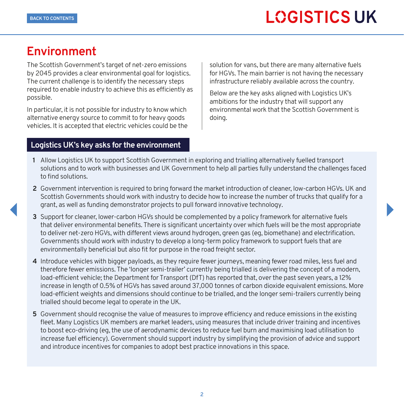## <span id="page-2-0"></span>**Environment**

The Scottish Government's target of net-zero emissions by 2045 provides a clear environmental goal for logistics. The current challenge is to identify the necessary steps required to enable industry to achieve this as efficiently as possible.

In particular, it is not possible for industry to know which alternative energy source to commit to for heavy goods vehicles. It is accepted that electric vehicles could be the

#### **Logistics UK's key asks for the environment**

solution for vans, but there are many alternative fuels for HGVs. The main barrier is not having the necessary infrastructure reliably available across the country.

Below are the key asks aligned with Logistics UK's ambitions for the industry that will support any environmental work that the Scottish Government is doing.

- **1** Allow Logistics UK to support Scottish Government in exploring and trialling alternatively fuelled transport solutions and to work with businesses and UK Government to help all parties fully understand the challenges faced to find solutions.
- **2** Government intervention is required to bring forward the market introduction of cleaner, low-carbon HGVs. UK and Scottish Governments should work with industry to decide how to increase the number of trucks that qualify for a grant, as well as funding demonstrator projects to pull forward innovative technology.
- **3** Support for cleaner, lower-carbon HGVs should be complemented by a policy framework for alternative fuels that deliver environmental benefits. There is significant uncertainty over which fuels will be the most appropriate to deliver net-zero HGVs, with different views around hydrogen, green gas (eg, biomethane) and electrification. Governments should work with industry to develop a long-term policy framework to support fuels that are environmentally beneficial but also fit for purpose in the road freight sector.
- **4** Introduce vehicles with bigger payloads, as they require fewer journeys, meaning fewer road miles, less fuel and therefore fewer emissions. The 'longer semi-trailer' currently being trialled is delivering the concept of a modern, load-efficient vehicle; the Department for Transport (DfT) has reported that, over the past seven years, a 12% increase in length of 0.5% of HGVs has saved around 37,000 tonnes of carbon dioxide equivalent emissions. More load-efficient weights and dimensions should continue to be trialled, and the longer semi-trailers currently being trialled should become legal to operate in the UK.
- **5** Government should recognise the value of measures to improve efficiency and reduce emissions in the existing fleet. Many Logistics UK members are market leaders, using measures that include driver training and incentives to boost eco-driving (eg, the use of aerodynamic devices to reduce fuel burn and maximising load utilisation to increase fuel efficiency). Government should support industry by simplifying the provision of advice and support and introduce incentives for companies to adopt best practice innovations in this space.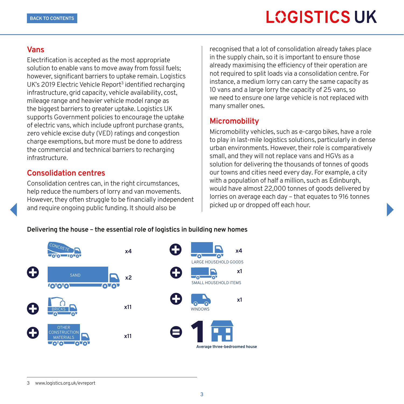#### **Vans**

Electrification is accepted as the most appropriate solution to enable vans to move away from fossil fuels; however, significant barriers to uptake remain. Logistics UK's 2019 Electric Vehicle Report<sup>3</sup> identified recharging infrastructure, grid capacity, vehicle availability, cost, mileage range and heavier vehicle model range as the biggest barriers to greater uptake. Logistics UK supports Government policies to encourage the uptake of electric vans, which include upfront purchase grants, zero vehicle excise duty (VED) ratings and congestion charge exemptions, but more must be done to address the commercial and technical barriers to recharging infrastructure.

### **Consolidation centres**

Consolidation centres can, in the right circumstances, help reduce the numbers of lorry and van movements. However, they often struggle to be financially independent and require ongoing public funding. It should also be

recognised that a lot of consolidation already takes place in the supply chain, so it is important to ensure those already maximising the efficiency of their operation are not required to split loads via a consolidation centre. For instance, a medium lorry can carry the same capacity as 10 vans and a large lorry the capacity of 25 vans, so we need to ensure one large vehicle is not replaced with many smaller ones.

### **Micromobility**

Micromobility vehicles, such as e-cargo bikes, have a role to play in last-mile logistics solutions, particularly in dense urban environments. However, their role is comparatively small, and they will not replace vans and HGVs as a solution for delivering the thousands of tonnes of goods our towns and cities need every day. For example, a city with a population of half a million, such as Edinburgh, would have almost 22,000 tonnes of goods delivered by lorries on average each day – that equates to 916 tonnes picked up or dropped off each hour.

#### **Delivering the house – the essential role of logistics in building new homes**



3 [www.logistics.org.uk/evreport](http://www.logistics.org.uk/evreport)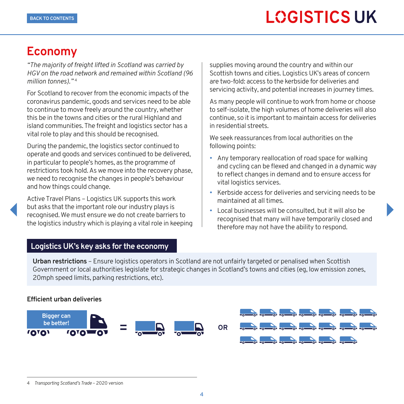## <span id="page-4-0"></span>**Economy**

*"The majority of freight lifted in Scotland was carried by HGV on the road network and remained within Scotland (96 million tonnes)."* <sup>4</sup>

For Scotland to recover from the economic impacts of the coronavirus pandemic, goods and services need to be able to continue to move freely around the country, whether this be in the towns and cities or the rural Highland and island communities. The freight and logistics sector has a vital role to play and this should be recognised.

During the pandemic, the logistics sector continued to operate and goods and services continued to be delivered, in particular to people's homes, as the programme of restrictions took hold. As we move into the recovery phase, we need to recognise the changes in people's behaviour and how things could change.

Active Travel Plans – Logistics UK supports this work but asks that the important role our industry plays is recognised. We must ensure we do not create barriers to the logistics industry which is playing a vital role in keeping supplies moving around the country and within our Scottish towns and cities. Logistics UK's areas of concern are two-fold: access to the kerbside for deliveries and servicing activity, and potential increases in journey times.

As many people will continue to work from home or choose to self-isolate, the high volumes of home deliveries will also continue, so it is important to maintain access for deliveries in residential streets.

We seek reassurances from local authorities on the following points:

- Any temporary reallocation of road space for walking and cycling can be flexed and changed in a dynamic way to reflect changes in demand and to ensure access for vital logistics services.
- Kerbside access for deliveries and servicing needs to be maintained at all times.
- Local businesses will be consulted, but it will also be recognised that many will have temporarily closed and therefore may not have the ability to respond.

### **Logistics UK's key asks for the economy**

**Urban restrictions** – Ensure logistics operators in Scotland are not unfairly targeted or penalised when Scottish Government or local authorities legislate for strategic changes in Scotland's towns and cities (eg, low emission zones, 20mph speed limits, parking restrictions, etc).

#### **Efficient urban deliveries**





<sup>4</sup> *Transporting Scotland's Trade* – 2020 version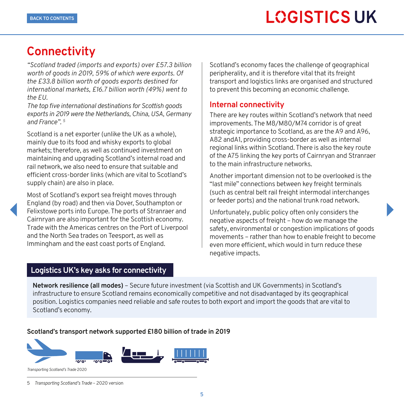## <span id="page-5-0"></span>**Connectivity**

*"Scotland traded (imports and exports) over £57.3 billion worth of goods in 2019, 59% of which were exports. Of the £33.8 billion worth of goods exports destined for international markets, £16.7 billion worth (49%) went to the EU.* 

*The top five international destinations for Scottish goods exports in 2019 were the Netherlands, China, USA, Germany and France". 5*

Scotland is a net exporter (unlike the UK as a whole), mainly due to its food and whisky exports to global markets; therefore, as well as continued investment on maintaining and upgrading Scotland's internal road and rail network, we also need to ensure that suitable and efficient cross-border links (which are vital to Scotland's supply chain) are also in place.

Most of Scotland's export sea freight moves through England (by road) and then via Dover, Southampton or Felixstowe ports into Europe. The ports of Stranraer and Cairnryan are also important for the Scottish economy. Trade with the Americas centres on the Port of Liverpool and the North Sea trades on Teesport, as well as Immingham and the east coast ports of England.

Scotland's economy faces the challenge of geographical peripherality, and it is therefore vital that its freight transport and logistics links are organised and structured to prevent this becoming an economic challenge.

#### **Internal connectivity**

There are key routes within Scotland's network that need improvements. The M8/M80/M74 corridor is of great strategic importance to Scotland, as are the A9 and A96, A82 andA1, providing cross-border as well as internal regional links within Scotland. There is also the key route of the A75 linking the key ports of Cairnryan and Stranraer to the main infrastructure networks.

Another important dimension not to be overlooked is the "last mile" connections between key freight terminals (such as central belt rail freight intermodal interchanges or feeder ports) and the national trunk road network.

Unfortunately, public policy often only considers the negative aspects of freight – how do we manage the safety, environmental or congestion implications of goods movements – rather than how to enable freight to become even more efficient, which would in turn reduce these negative impacts.

#### **Logistics UK's key asks for connectivity**

**Network resilience (all modes)** – Secure future investment (via Scottish and UK Governments) in Scotland's infrastructure to ensure Scotland remains economically competitive and not disadvantaged by its geographical position. Logistics companies need reliable and safe routes to both export and import the goods that are vital to Scotland's economy.

#### **Scotland's transport network supported £180 billion of trade in 2019**



<sup>5</sup> *Transporting Scotland's Trade* – 2020 version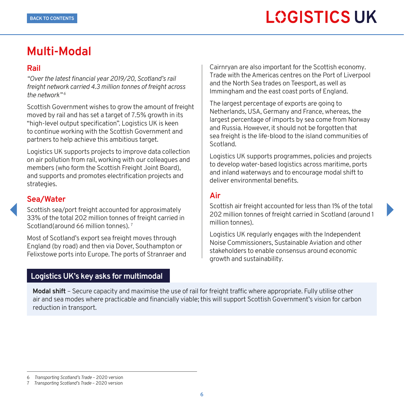## <span id="page-6-0"></span>**Multi-Modal**

#### **Rail**

*"Over the latest financial year 2019/20, Scotland's rail freight network carried 4.3 million tonnes of freight across the network" 6*

Scottish Government wishes to grow the amount of freight moved by rail and has set a target of 7.5% growth in its "high-level output specification". Logistics UK is keen to continue working with the Scottish Government and partners to help achieve this ambitious target.

Logistics UK supports projects to improve data collection on air pollution from rail, working with our colleagues and members (who form the Scottish Freight Joint Board), and supports and promotes electrification projects and strategies.

### **Sea/Water**

Scottish sea/port freight accounted for approximately 33% of the total 202 million tonnes of freight carried in Scotland(around 66 million tonnes).<sup>7</sup>

Most of Scotland's export sea freight moves through England (by road) and then via Dover, Southampton or Felixstowe ports into Europe. The ports of Stranraer and

#### **Logistics UK's key asks for multimodal**

Cairnryan are also important for the Scottish economy. Trade with the Americas centres on the Port of Liverpool and the North Sea trades on Teesport, as well as Immingham and the east coast ports of England.

The largest percentage of exports are going to Netherlands, USA, Germany and France, whereas, the largest percentage of imports by sea come from Norway and Russia. However, it should not be forgotten that sea freight is the life-blood to the island communities of Scotland.

Logistics UK supports programmes, policies and projects to develop water-based logistics across maritime, ports and inland waterways and to encourage modal shift to deliver environmental benefits.

### **Air**

Scottish air freight accounted for less than 1% of the total 202 million tonnes of freight carried in Scotland (around 1 million tonnes).

Logistics UK regularly engages with the Independent Noise Commissioners, Sustainable Aviation and other stakeholders to enable consensus around economic growth and sustainability.

**Modal shift** – Secure capacity and maximise the use of rail for freight traffic where appropriate. Fully utilise other air and sea modes where practicable and financially viable; this will support Scottish Government's vision for carbon reduction in transport.

<sup>6</sup> *Transporting Scotland's Trade* – 2020 version

<sup>7</sup> *Transporting Scotland's Trade* – 2020 version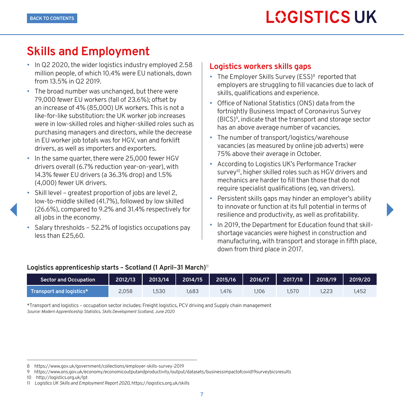## <span id="page-7-0"></span>**Skills and Employment**

- In Q2 2020, the wider logistics industry employed 2.58 million people, of which 10.4% were EU nationals, down from 13.5% in Q2 2019.
- The broad number was unchanged, but there were 79,000 fewer EU workers (fall of 23.6%); offset by an increase of 4% (85,000) UK workers. This is not a like-for-like substitution: the UK worker job increases were in low-skilled roles and higher-skilled roles such as purchasing managers and directors, while the decrease in EU worker job totals was for HGV, van and forklift drivers, as well as importers and exporters.
- In the same quarter, there were 25,000 fewer HGV drivers overall (6.7% reduction year-on-year), with 14.3% fewer EU drivers (a 36.3% drop) and 1.5% (4,000) fewer UK drivers.
- Skill level greatest proportion of jobs are level 2, low-to-middle skilled (41.7%), followed by low skilled (26.6%), compared to 9.2% and 31.4% respectively for all jobs in the economy.
- Salary thresholds 52.2% of logistics occupations pay less than £25,60.

#### **Logistics workers skills gaps**

- The Employer Skills Survey (ESS)<sup>8</sup> reported that employers are struggling to fill vacancies due to lack of skills, qualifications and experience.
- Office of National Statistics (ONS) data from the fortnightly Business Impact of Coronavirus Survey (BICS)9, indicate that the transport and storage sector has an above average number of vacancies.
- The number of transport/logistics/warehouse vacancies (as measured by online job adverts) were 75% above their average in October.
- According to Logistics UK's Performance Tracker survey<sup>10</sup>, higher skilled roles such as HGV drivers and mechanics are harder to fill than those that do not require specialist qualifications (eg, van drivers).
- Persistent skills gaps may hinder an employer's ability to innovate or function at its full potential in terms of resilience and productivity, as well as profitability.
- In 2019, the Department for Education found that skillshortage vacancies were highest in construction and manufacturing, with transport and storage in fifth place, down from third place in 2017.

#### **Logistics apprenticeship starts – Scotland (1 April–31 March)**<sup>11</sup>

| <b>Sector and Occupation</b> | 2012/13 | 2013/14 | 2014/15 | 2015/16 | 2016/17 | 2017/18 | 2018/19 | 2019/20 |
|------------------------------|---------|---------|---------|---------|---------|---------|---------|---------|
| Transport and logistics*     | 2.058   | .530    | .683    | .476    | 1,106   | .570    |         | 1.452   |

\*Transport and logistics – occupation sector includes: Freight logistics, PCV driving and Supply chain management *Source: Modern Apprenticeship Statistics, Skills Development Scotland, June 2020*

<sup>8</sup> <https://www.gov.uk/government/collections/employer-skills-survey-2019>

<sup>9</sup> <https://www.ons.gov.uk/economy/economicoutputandproductivity/output/datasets/businessimpactofcovid19surveybicsresults>

<sup>10</sup> <http://logistics.org.uk/lpt>

<sup>11</sup> *Logistics UK Skills and Employment Report 2020*,<https://logistics.org.uk/skills>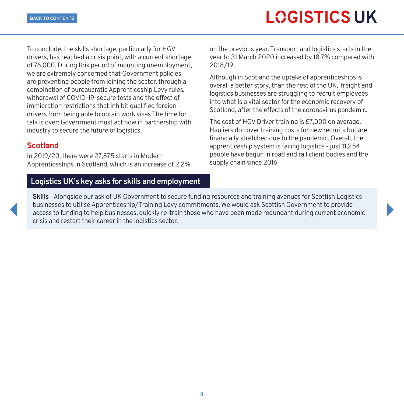To conclude, the skills shortage, particularly for HGV drivers, has reached a crisis point, with a current shortage of 76,000. During this period of mounting unemployment, we are extremely concerned that Government policies are preventing people from joining the sector, through a combination of bureaucratic Apprenticeship Levy rules, withdrawal of COVID-19-secure tests and the effect of immigration restrictions that inhibit qualified foreign drivers from being able to obtain work visas The time for talk is over: Government must act now in partnership with industry to secure the future of logistics.

### **Scotland**

In 2019/20, there were 27,875 starts in Modern Apprenticeships in Scotland, which is an increase of 2.2%

#### **Logistics UK's key asks for skills and employment**

on the previous year. Transport and logistics starts in the year to 31 March 2020 increased by 18.7% compared with 2018/19.

Although in Scotland the uptake of apprenticeships is overall a better story, than the rest of the UK, freight and logistics businesses are struggling to recruit employees into what is a vital sector for the economic recovery of Scotland, after the effects of the coronavirus pandemic.

The cost of HGV Driver training is £7,000 on average. Hauliers do cover training costs for new recruits but are financially stretched due to the pandemic. Overall, the apprenticeship system is failing logistics - just 11,254 people have begun in road and rail client bodies and the supply chain since 2016

**Skills** –Alongside our ask of UK Government to secure funding resources and training avenues for Scottish Logistics businesses to utilise Apprenticeship/Training Levy commitments. We would ask Scottish Government to provide access to funding to help businesses, quickly re-train those who have been made redundant during current economic crisis and restart their career in the logistics sector.